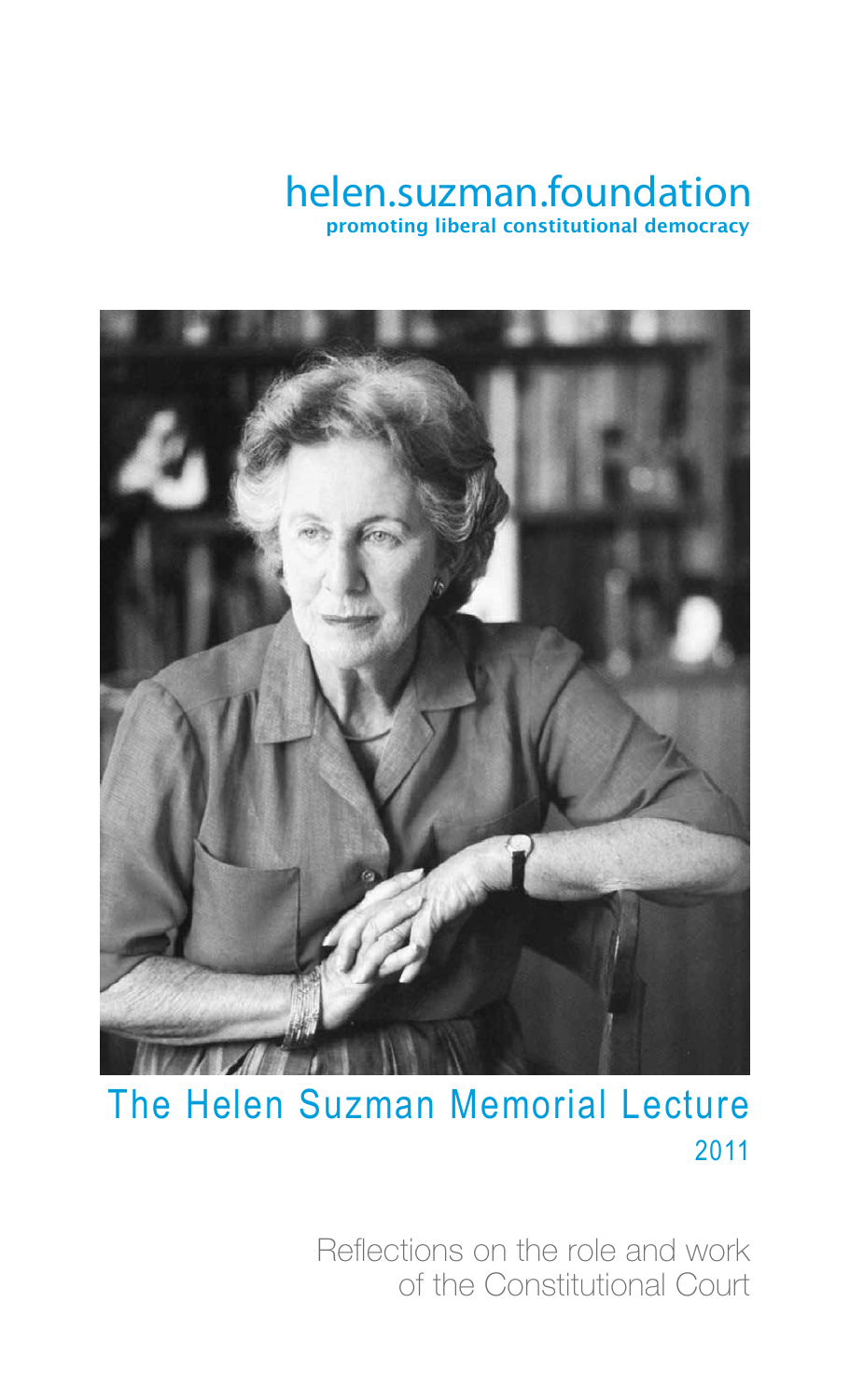### helen.suzman.foundation promoting liberal constitutional democracy



### 2011 The Helen Suzman Memorial Lecture

Reflections on the role and work of the Constitutional Court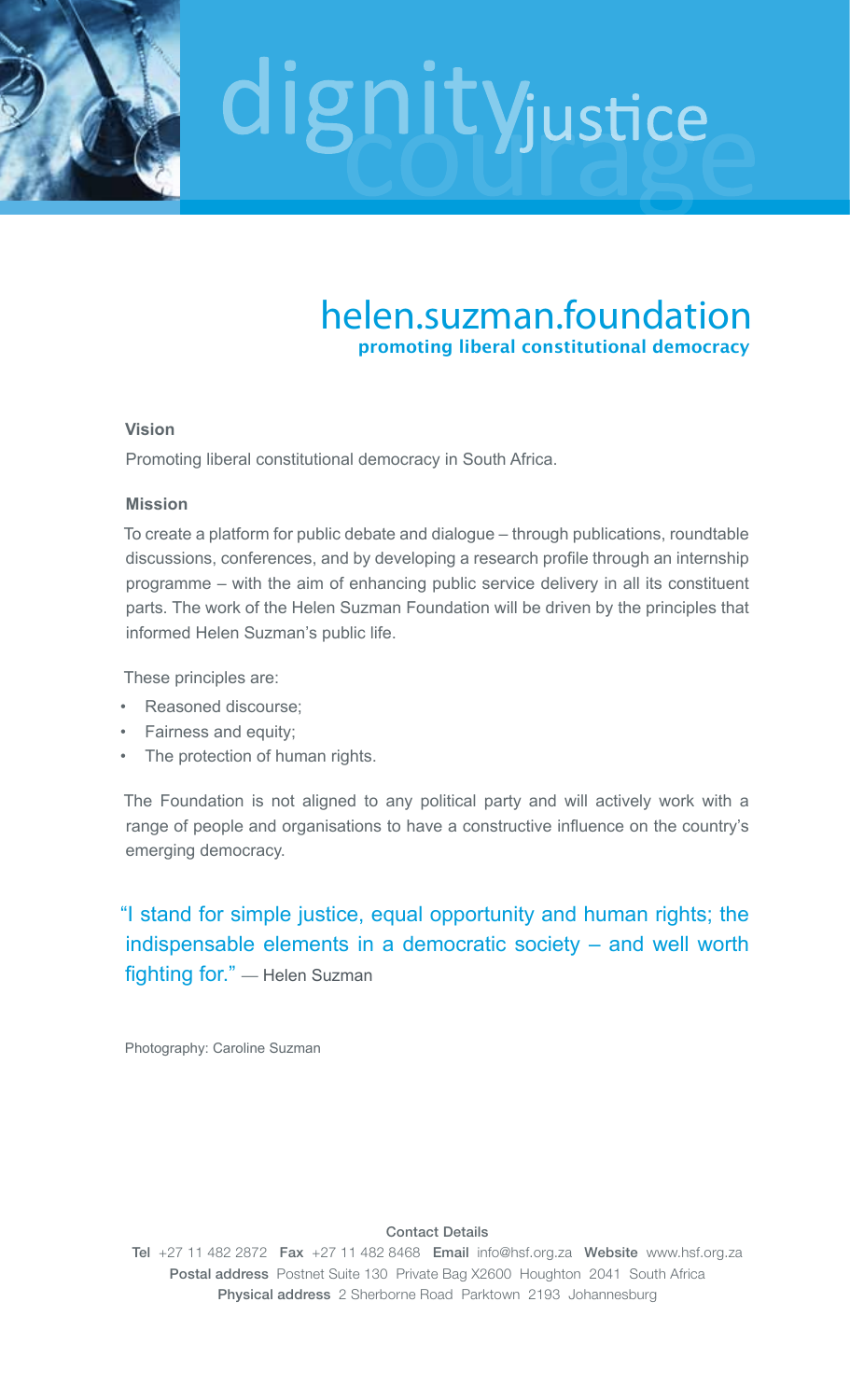

### helen.suzman.foundation promoting liberal constitutional democracy

### **Vision**

Promoting liberal constitutional democracy in South Africa.

### **Mission**

To create a platform for public debate and dialogue – through publications, roundtable discussions, conferences, and by developing a research profile through an internship programme – with the aim of enhancing public service delivery in all its constituent parts. The work of the Helen Suzman Foundation will be driven by the principles that informed Helen Suzman's public life.

These principles are:

- Reasoned discourse;
- Fairness and equity;
- The protection of human rights.

The Foundation is not aligned to any political party and will actively work with a range of people and organisations to have a constructive influence on the country's emerging democracy.

### "I stand for simple justice, equal opportunity and human rights; the indispensable elements in a democratic society – and well worth fighting for." — Helen Suzman

Photography: Caroline Suzman

### Contact Details

Tel +27 11 482 2872 Fax +27 11 482 8468 Email info@hsf.org.za Website www.hsf.org.za Postal address Postnet Suite 130 Private Bag X2600 Houghton 2041 South Africa Physical address 2 Sherborne Road Parktown 2193 Johannesburg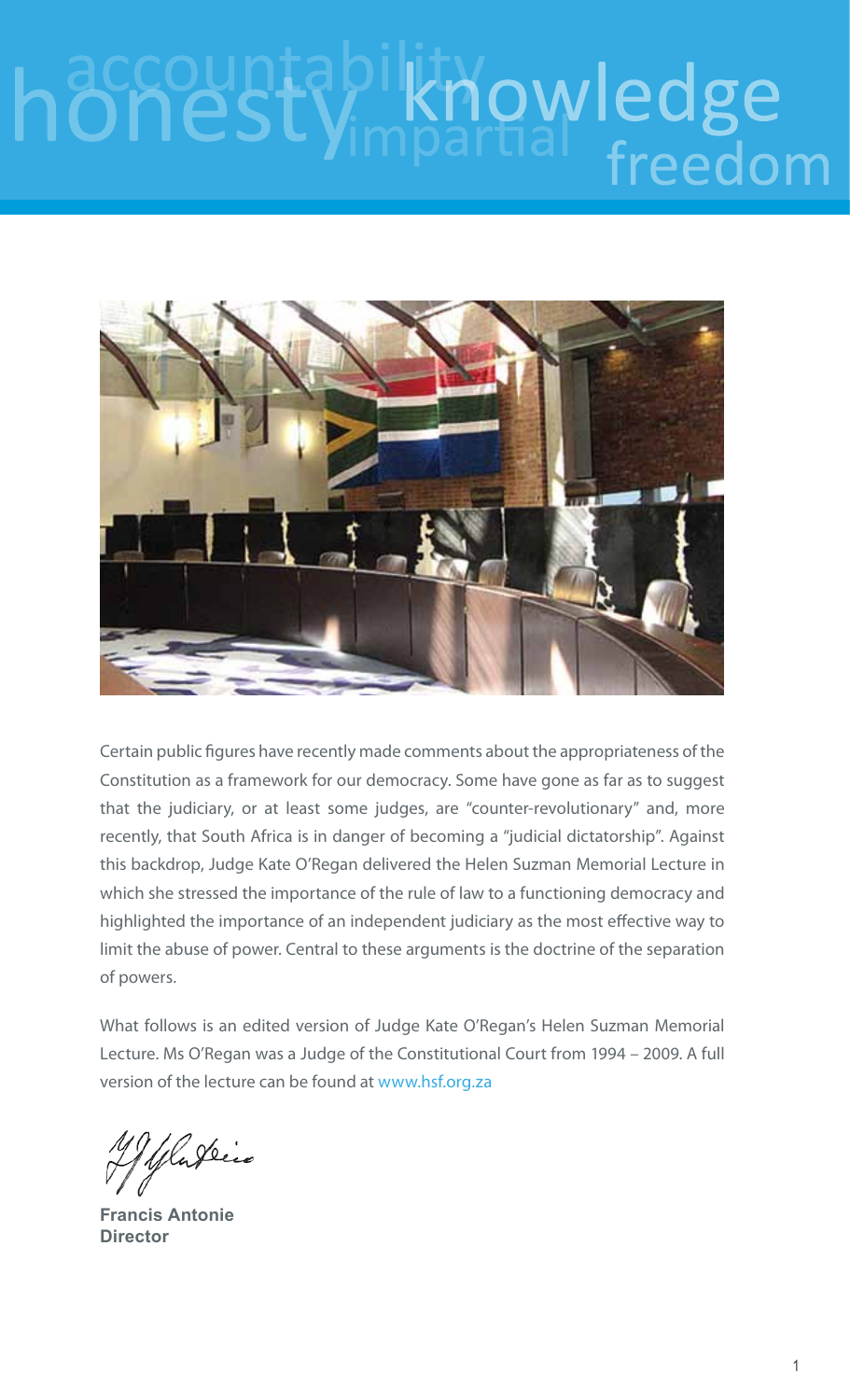# knowledge freedom



Certain public figures have recently made comments about the appropriateness of the Constitution as a framework for our democracy. Some have gone as far as to suggest that the judiciary, or at least some judges, are "counter-revolutionary" and, more recently, that South Africa is in danger of becoming a "judicial dictatorship". Against this backdrop, Judge Kate O'Regan delivered the Helen Suzman Memorial Lecture in which she stressed the importance of the rule of law to a functioning democracy and highlighted the importance of an independent judiciary as the most effective way to limit the abuse of power. Central to these arguments is the doctrine of the separation of powers.

What follows is an edited version of Judge Kate O'Regan's Helen Suzman Memorial Lecture. Ms O'Regan was a Judge of the Constitutional Court from 1994 – 2009. A full version of the lecture can be found at www.hsf.org.za

Ruférie

**Francis Antonie Director**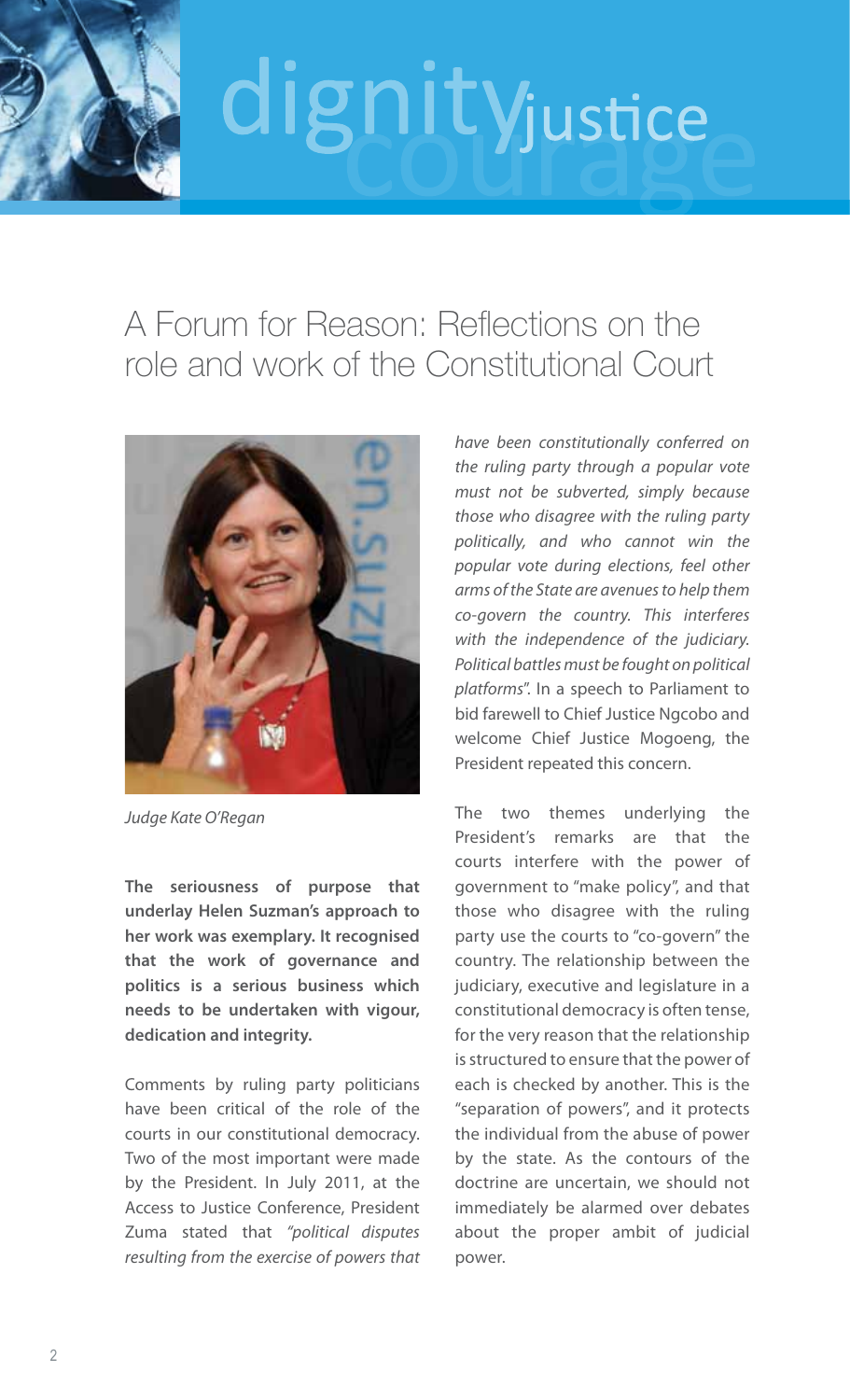

### A Forum for Reason: Reflections on the role and work of the Constitutional Court



*Judge Kate O'Regan*

**The seriousness of purpose that underlay Helen Suzman's approach to her work was exemplary. It recognised that the work of governance and politics is a serious business which needs to be undertaken with vigour, dedication and integrity.** 

Comments by ruling party politicians have been critical of the role of the courts in our constitutional democracy. Two of the most important were made by the President. In July 2011, at the Access to Justice Conference, President Zuma stated that *"political disputes resulting from the exercise of powers that*  *have been constitutionally conferred on the ruling party through a popular vote must not be subverted, simply because those who disagree with the ruling party politically, and who cannot win the popular vote during elections, feel other arms of the State are avenues to help them co-govern the country. This interferes with the independence of the judiciary. Political battles must be fought on political platforms*". In a speech to Parliament to bid farewell to Chief Justice Ngcobo and welcome Chief Justice Mogoeng, the President repeated this concern.

The two themes underlying the President's remarks are that the courts interfere with the power of government to "make policy", and that those who disagree with the ruling party use the courts to "co-govern" the country. The relationship between the judiciary, executive and legislature in a constitutional democracy is often tense, for the very reason that the relationship is structured to ensure that the power of each is checked by another. This is the "separation of powers", and it protects the individual from the abuse of power by the state. As the contours of the doctrine are uncertain, we should not immediately be alarmed over debates about the proper ambit of judicial power.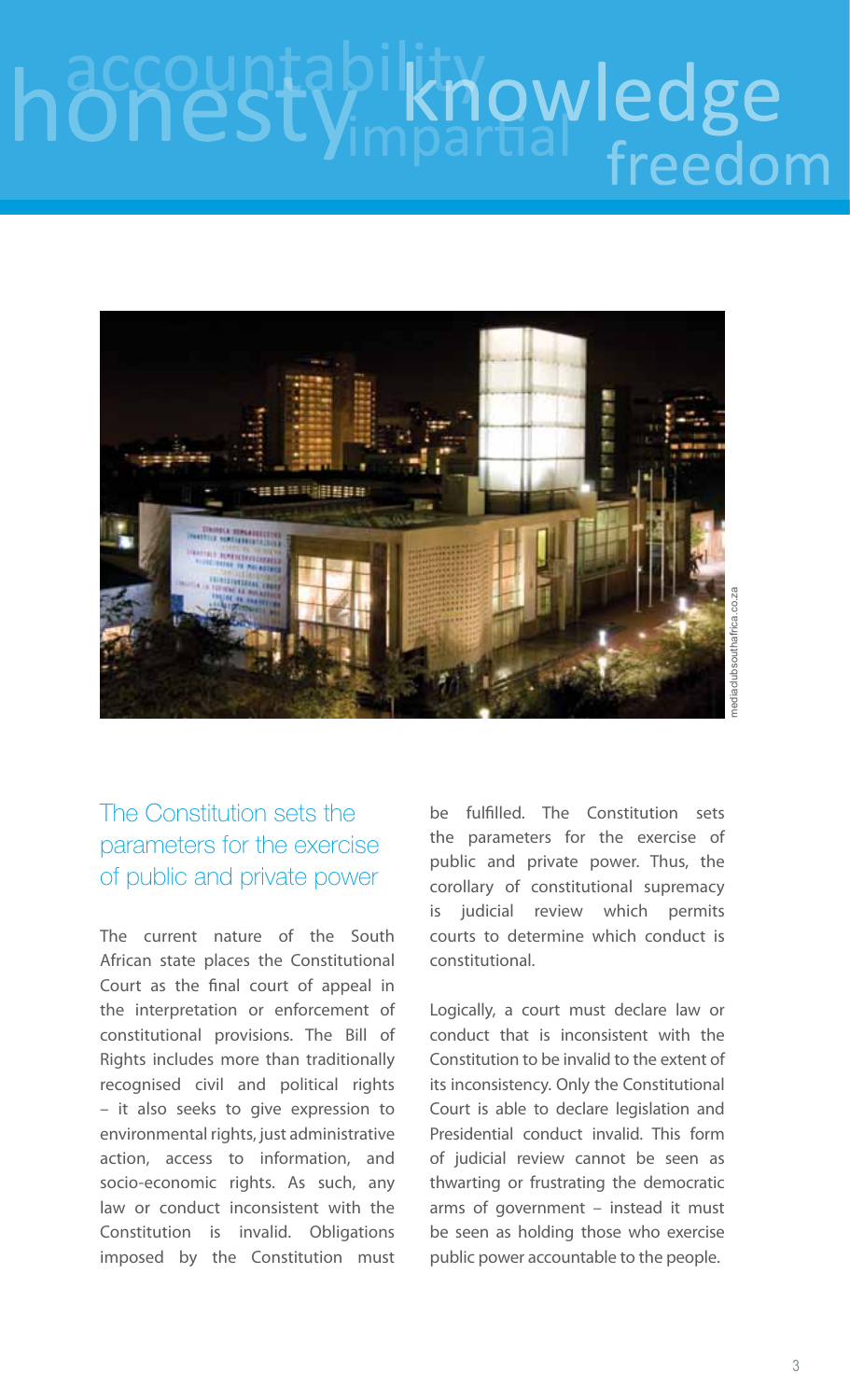## knowledge hon freedom



### The Constitution sets the parameters for the exercise of public and private power

The current nature of the South African state places the Constitutional Court as the final court of appeal in the interpretation or enforcement of constitutional provisions. The Bill of Rights includes more than traditionally recognised civil and political rights – it also seeks to give expression to environmental rights, just administrative action, access to information, and socio-economic rights. As such, any law or conduct inconsistent with the Constitution is invalid. Obligations imposed by the Constitution must

be fulfilled. The Constitution sets the parameters for the exercise of public and private power. Thus, the corollary of constitutional supremacy is judicial review which permits courts to determine which conduct is constitutional.

Logically, a court must declare law or conduct that is inconsistent with the Constitution to be invalid to the extent of its inconsistency. Only the Constitutional Court is able to declare legislation and Presidential conduct invalid. This form of judicial review cannot be seen as thwarting or frustrating the democratic arms of government – instead it must be seen as holding those who exercise public power accountable to the people.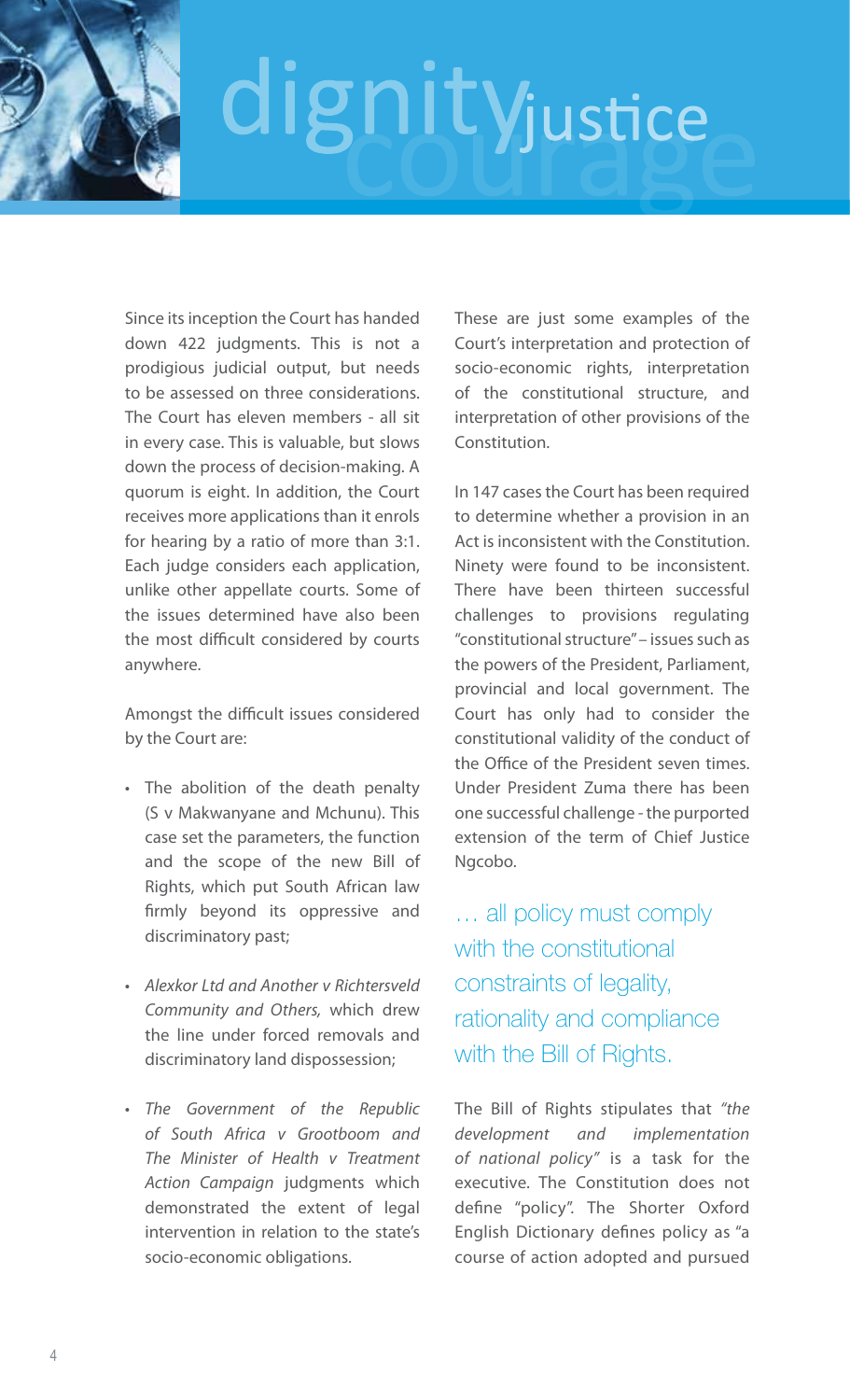Since its inception the Court has handed down 422 judgments. This is not a prodigious judicial output, but needs to be assessed on three considerations. The Court has eleven members - all sit in every case. This is valuable, but slows down the process of decision-making. A quorum is eight. In addition, the Court receives more applications than it enrols for hearing by a ratio of more than 3:1. Each judge considers each application, unlike other appellate courts. Some of the issues determined have also been the most difficult considered by courts anywhere.

Amongst the difficult issues considered by the Court are:

- The abolition of the death penalty (S v Makwanyane and Mchunu). This case set the parameters, the function and the scope of the new Bill of Rights, which put South African law firmly beyond its oppressive and discriminatory past;
- • *Alexkor Ltd and Another v Richtersveld Community and Others,* which drew the line under forced removals and discriminatory land dispossession;
- • *The Government of the Republic of South Africa v Grootboom and The Minister of Health v Treatment Action Campaign* judgments which demonstrated the extent of legal intervention in relation to the state's socio-economic obligations.

These are just some examples of the Court's interpretation and protection of socio-economic rights, interpretation of the constitutional structure, and interpretation of other provisions of the Constitution.

In 147 cases the Court has been required to determine whether a provision in an Act is inconsistent with the Constitution. Ninety were found to be inconsistent. There have been thirteen successful challenges to provisions regulating "constitutional structure" – issues such as the powers of the President, Parliament, provincial and local government. The Court has only had to consider the constitutional validity of the conduct of the Office of the President seven times. Under President Zuma there has been one successful challenge - the purported extension of the term of Chief Justice Ngcobo.

… all policy must comply with the constitutional constraints of legality, rationality and compliance with the Bill of Rights.

The Bill of Rights stipulates that *"the development and implementation of national policy"* is a task for the executive. The Constitution does not define "policy". The Shorter Oxford English Dictionary defines policy as "a course of action adopted and pursued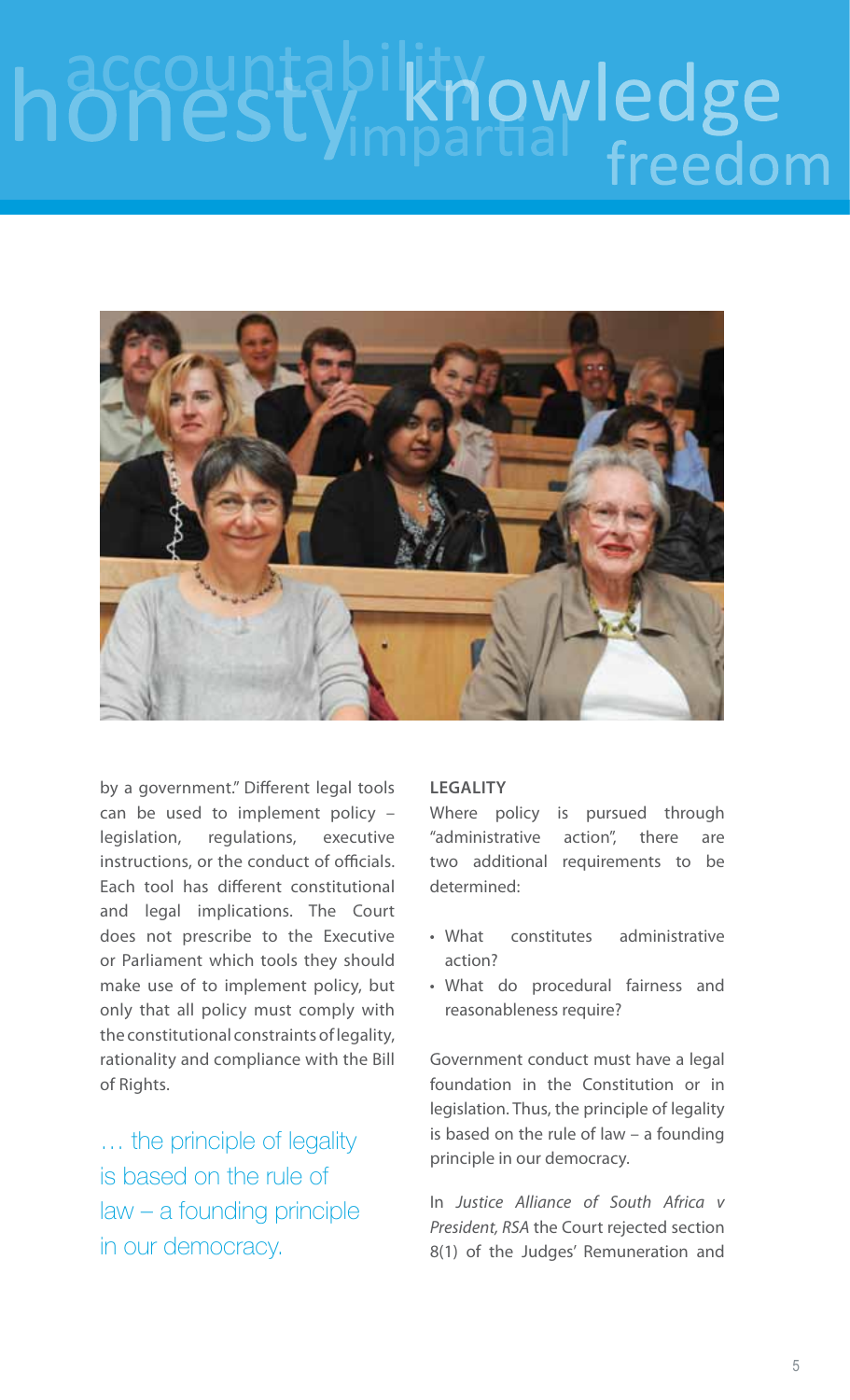## knowledge hon freedom



by a government." Different legal tools can be used to implement policy – legislation, regulations, executive instructions, or the conduct of officials. Each tool has different constitutional and legal implications. The Court does not prescribe to the Executive or Parliament which tools they should make use of to implement policy, but only that all policy must comply with the constitutional constraints of legality, rationality and compliance with the Bill of Rights.

… the principle of legality is based on the rule of law – a founding principle in our democracy.

### **Legality**

Where policy is pursued through "administrative action", there are two additional requirements to be determined:

- What constitutes administrative action?
- • What do procedural fairness and reasonableness require?

Government conduct must have a legal foundation in the Constitution or in legislation. Thus, the principle of legality is based on the rule of law – a founding principle in our democracy.

In *Justice Alliance of South Africa v President, RSA* the Court rejected section 8(1) of the Judges' Remuneration and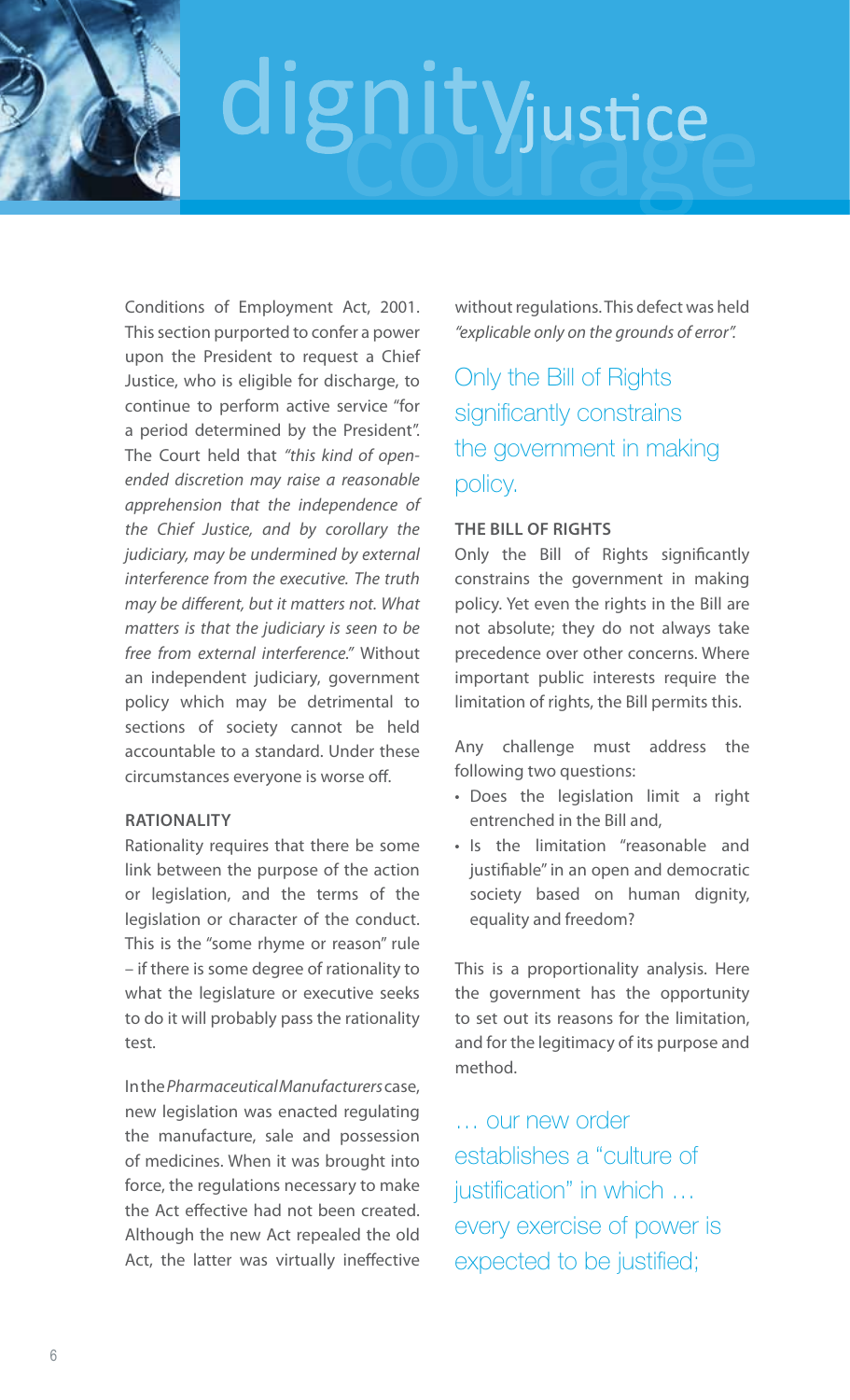Conditions of Employment Act, 2001. This section purported to confer a power upon the President to request a Chief Justice, who is eligible for discharge, to continue to perform active service "for a period determined by the President". The Court held that *"this kind of openended discretion may raise a reasonable apprehension that the independence of the Chief Justice, and by corollary the judiciary, may be undermined by external interference from the executive. The truth may be different, but it matters not. What matters is that the judiciary is seen to be free from external interference."* Without an independent judiciary, government policy which may be detrimental to sections of society cannot be held accountable to a standard. Under these circumstances everyone is worse off.

### **Rationality**

Rationality requires that there be some link between the purpose of the action or legislation, and the terms of the legislation or character of the conduct. This is the "some rhyme or reason" rule – if there is some degree of rationality to what the legislature or executive seeks to do it will probably pass the rationality test.

In the *Pharmaceutical Manufacturers* case, new legislation was enacted regulating the manufacture, sale and possession of medicines. When it was brought into force, the regulations necessary to make the Act effective had not been created. Although the new Act repealed the old Act, the latter was virtually ineffective without regulations. This defect was held *"explicable only on the grounds of error".* 

Only the Bill of Rights significantly constrains the government in making policy.

### **The Bill of Rights**

Only the Bill of Rights significantly constrains the government in making policy. Yet even the rights in the Bill are not absolute; they do not always take precedence over other concerns. Where important public interests require the limitation of rights, the Bill permits this.

Any challenge must address the following two questions:

- • Does the legislation limit a right entrenched in the Bill and,
- Is the limitation "reasonable and justifiable" in an open and democratic society based on human dignity, equality and freedom?

This is a proportionality analysis. Here the government has the opportunity to set out its reasons for the limitation, and for the legitimacy of its purpose and method.

… our new order establishes a "culture of justification" in which … every exercise of power is expected to be justified;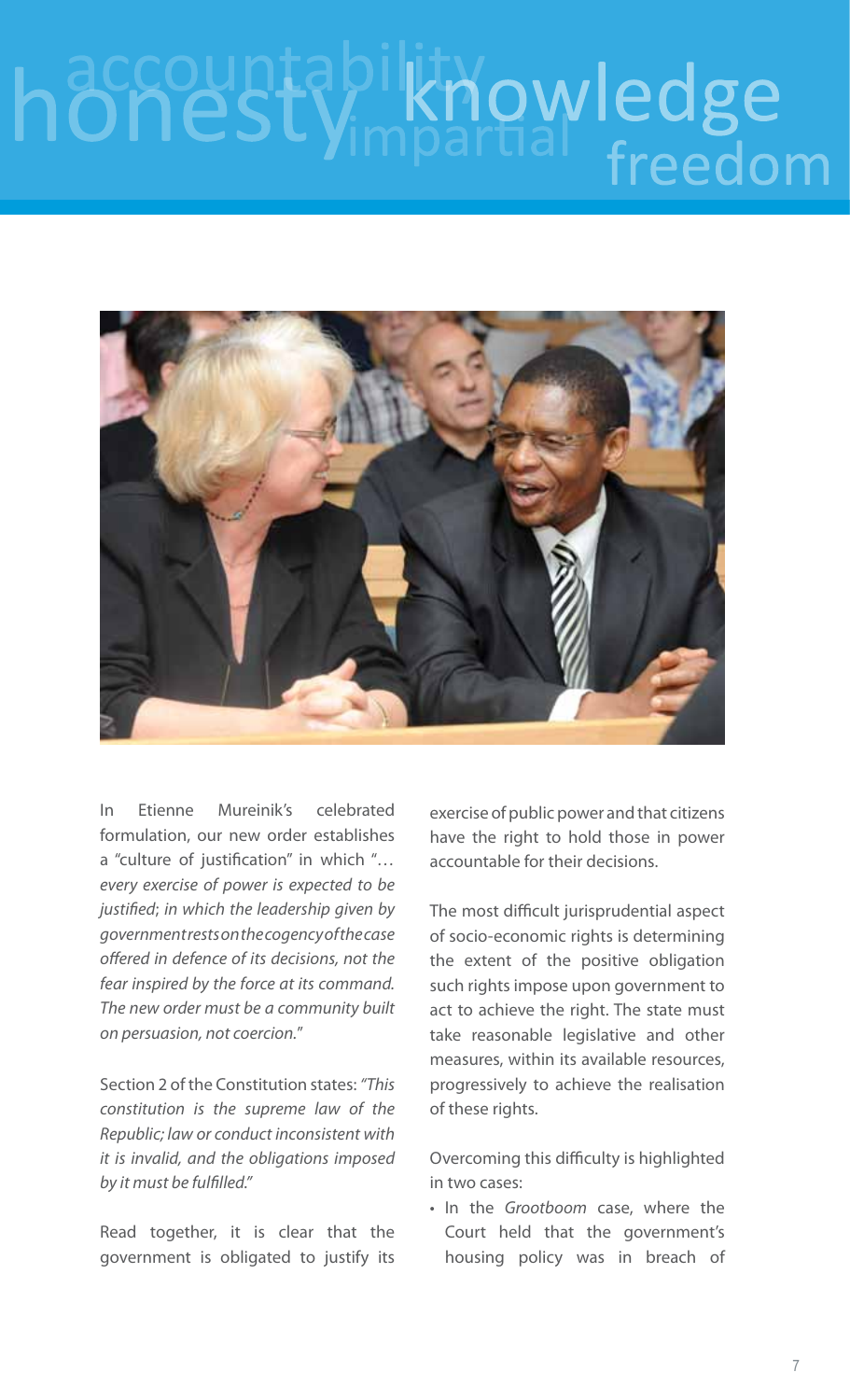## knowledge hone freedom



In Etienne Mureinik's celebrated formulation, our new order establishes a "culture of justification" in which "*… every exercise of power is expected to be justified*; *in which the leadership given by government rests on the cogency of the case offered in defence of its decisions, not the fear inspired by the force at its command. The new order must be a community built on persuasion, not coercion.*"

Section 2 of the Constitution states: *"This constitution is the supreme law of the Republic; law or conduct inconsistent with it is invalid, and the obligations imposed by it must be fulfilled."* 

Read together, it is clear that the government is obligated to justify its

exercise of public power and that citizens have the right to hold those in power accountable for their decisions.

The most difficult jurisprudential aspect of socio-economic rights is determining the extent of the positive obligation such rights impose upon government to act to achieve the right. The state must take reasonable legislative and other measures, within its available resources, progressively to achieve the realisation of these rights.

Overcoming this difficulty is highlighted in two cases:

• In the *Grootboom* case, where the Court held that the government's housing policy was in breach of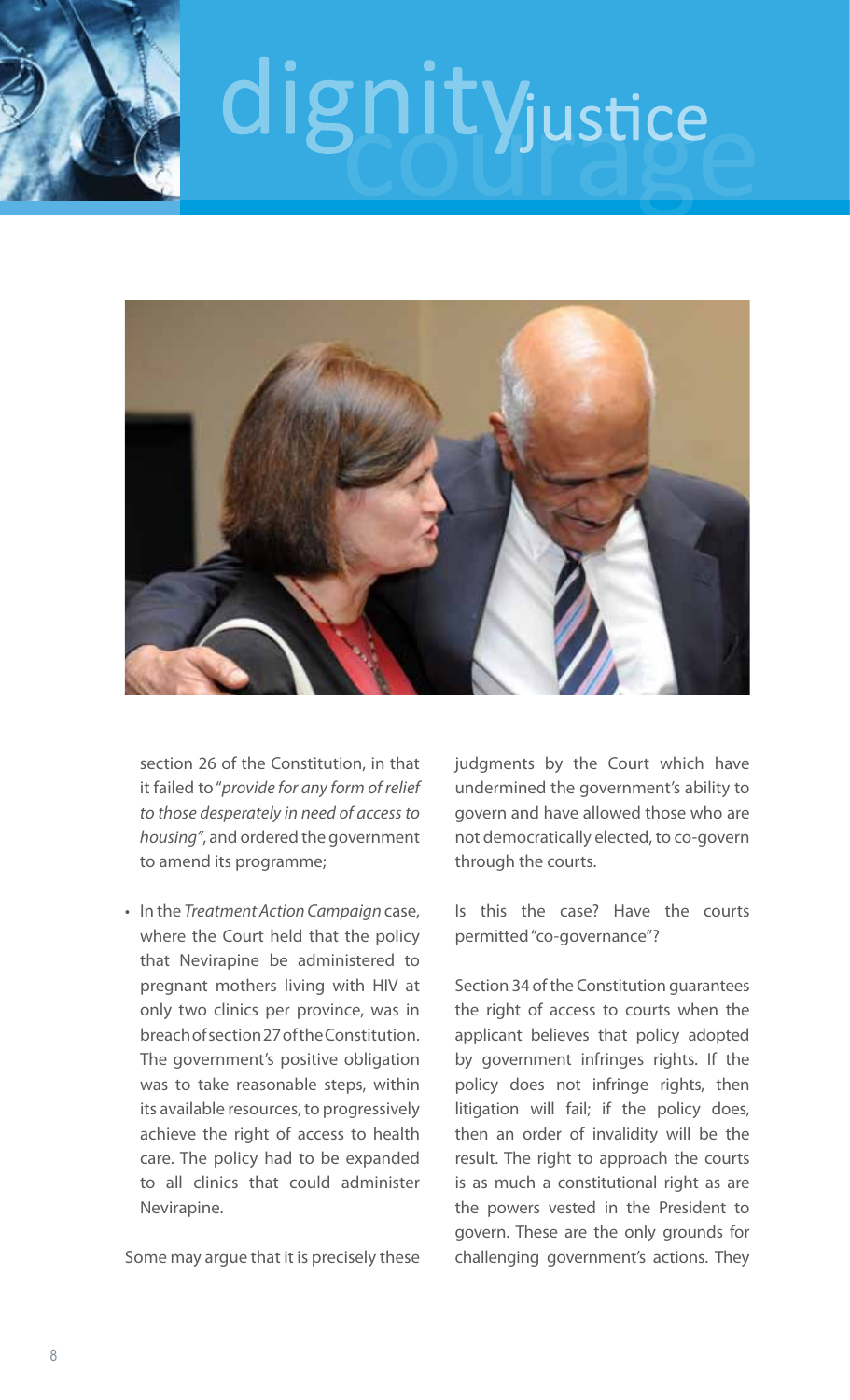



section 26 of the Constitution, in that it failed to "*provide for any form of relief to those desperately in need of access to housing"*, and ordered the government to amend its programme;

• In the *Treatment Action Campaign* case, where the Court held that the policy that Nevirapine be administered to pregnant mothers living with HIV at only two clinics per province, was in breach of section 27 of the Constitution. The government's positive obligation was to take reasonable steps, within its available resources, to progressively achieve the right of access to health care. The policy had to be expanded to all clinics that could administer Nevirapine.

Some may argue that it is precisely these

judgments by the Court which have undermined the government's ability to govern and have allowed those who are not democratically elected, to co-govern through the courts.

Is this the case? Have the courts permitted "co-governance"?

Section 34 of the Constitution guarantees the right of access to courts when the applicant believes that policy adopted by government infringes rights. If the policy does not infringe rights, then litigation will fail; if the policy does, then an order of invalidity will be the result. The right to approach the courts is as much a constitutional right as are the powers vested in the President to govern. These are the only grounds for challenging government's actions. They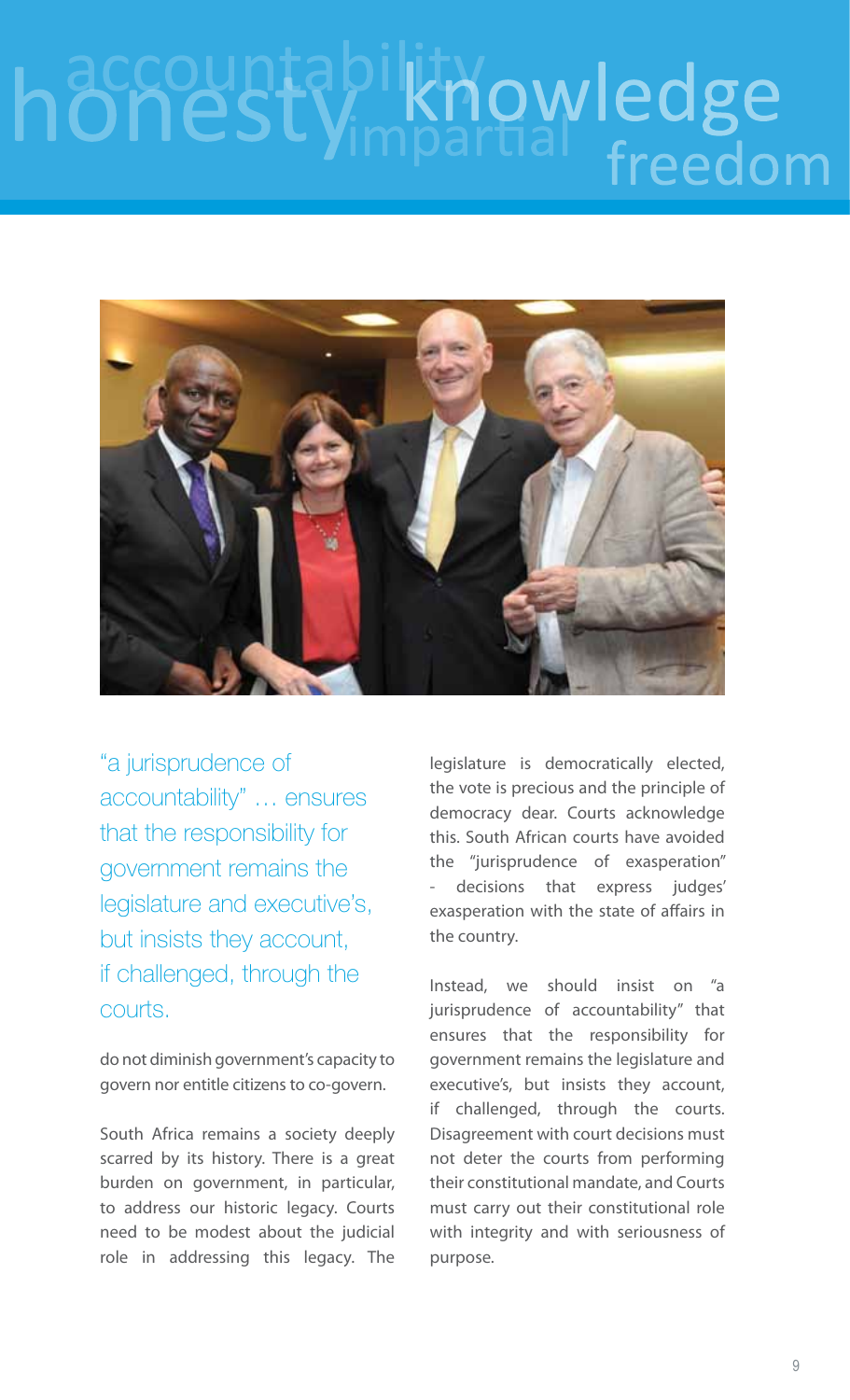## knowledge hone freedom



"a jurisprudence of accountability" … ensures that the responsibility for government remains the legislature and executive's, but insists they account, if challenged, through the courts.

do not diminish government's capacity to govern nor entitle citizens to co-govern.

South Africa remains a society deeply scarred by its history. There is a great burden on government, in particular, to address our historic legacy. Courts need to be modest about the judicial role in addressing this legacy. The

legislature is democratically elected, the vote is precious and the principle of democracy dear. Courts acknowledge this. South African courts have avoided the "jurisprudence of exasperation" decisions that express judges' exasperation with the state of affairs in the country.

Instead, we should insist on "a jurisprudence of accountability" that ensures that the responsibility for government remains the legislature and executive's, but insists they account, if challenged, through the courts. Disagreement with court decisions must not deter the courts from performing their constitutional mandate, and Courts must carry out their constitutional role with integrity and with seriousness of purpose.